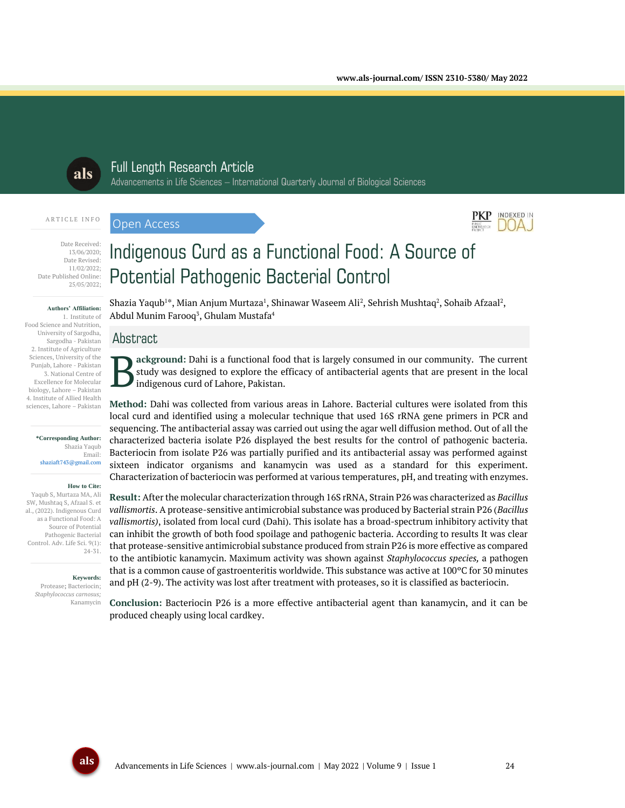

## Full Length Research Article Advancements in Life Sciences – International Quarterly Journal of Biological Sciences

#### ARTICLE INFO

Open Access



Date Received: 13/06/2020; Date Revised: 11/02/2022; Date Published Online: 25/05/2022;

#### **Authors' Affiliation:**

1. Institute of Food Science and Nutrition, University of Sargodha, Sargodha - Pakistan 2. Institute of Agriculture Sciences, University of the Punjab, Lahore - Pakistan 3. National Centre of Excellence for Molecular biology, Lahore – Pakistan 4. Institute of Allied Health sciences, Lahore – Pakistan

#### **\*Corresponding Author:**

Shazia Yaqub Email: shaziaft743@gmail.com

#### **How to Cite:**

Yaqub S, Murtaza MA, Ali SW, Mushtaq S, Afzaal S. et al., (2022). Indigenous Curd as a Functional Food: A Source of Potential Pathogenic Bacterial Control. Adv. Life Sci. 9(1): 24-31.

> **Keywords:** Protease**;** Bacteriocin; *Staphylococcus carnosus;*

> > Kanamycin

# Potential Pathogenic Bacterial Control

Indigenous Curd as a Functional Food: A Source of

Shazia Yaqub $1^*$ , Mian Anjum Murtaza $^1$ , Shinawar Waseem Ali $^2$ , Sehrish Mushtaq $^2$ , Sohaib Afzaal $^2$ , Abdul Munim Farooq $^{\rm 3}$ , Ghulam Mustafa $^{\rm 4}$ 

# Abstract

**ackground:** Dahi is a functional food that is largely consumed in our community. The current study was designed to explore the efficacy of antibacterial agents that are present in the local indigenous curd of Lahore, Pakistan. B

**Method:** Dahi was collected from various areas in Lahore. Bacterial cultures were isolated from this local curd and identified using a molecular technique that used 16S rRNA gene primers in PCR and sequencing. The antibacterial assay was carried out using the agar well diffusion method. Out of all the characterized bacteria isolate P26 displayed the best results for the control of pathogenic bacteria. Bacteriocin from isolate P26 was partially purified and its antibacterial assay was performed against sixteen indicator organisms and kanamycin was used as a standard for this experiment. Characterization of bacteriocin was performed at various temperatures, pH, and treating with enzymes.

**Result:** After the molecular characterization through 16S rRNA, Strain P26 was characterized as *Bacillus vallismortis*. A protease-sensitive antimicrobial substance was produced by Bacterial strain P26 (*Bacillus vallismortis)*, isolated from local curd (Dahi). This isolate has a broad-spectrum inhibitory activity that can inhibit the growth of both food spoilage and pathogenic bacteria. According to results It was clear that protease-sensitive antimicrobial substance produced from strain P26 is more effective as compared to the antibiotic kanamycin. Maximum activity was shown against *Staphylococcus species,* a pathogen that is a common cause of gastroenteritis worldwide. This substance was active at 100ºC for 30 minutes and pH (2-9). The activity was lost after treatment with proteases, so it is classified as bacteriocin.

**Conclusion:** Bacteriocin P26 is a more effective antibacterial agent than kanamycin, and it can be produced cheaply using local cardkey.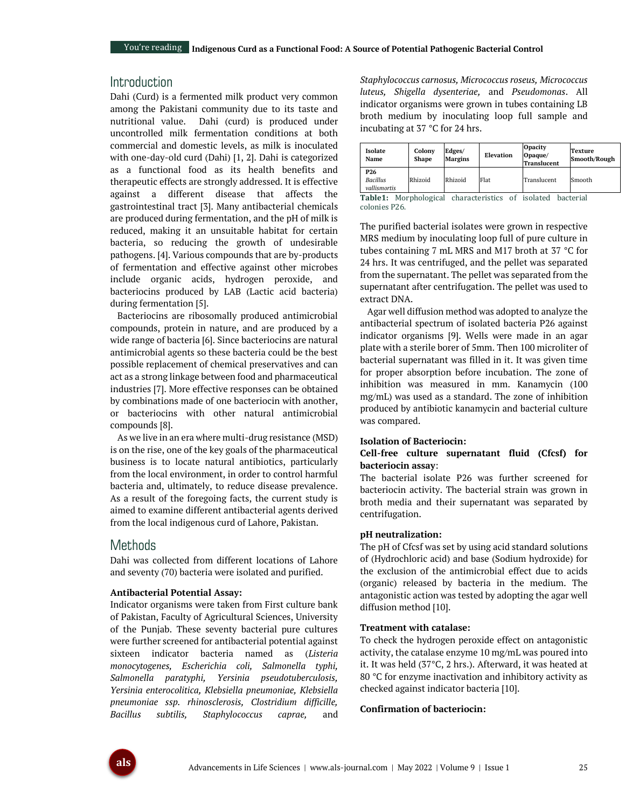## **Introduction**

Dahi (Curd) is a fermented milk product very common among the Pakistani community due to its taste and nutritional value. Dahi (curd) is produced under uncontrolled milk fermentation conditions at both commercial and domestic levels, as milk is inoculated with one-day-old curd (Dahi) [1, 2]. Dahi is categorized as a functional food as its health benefits and therapeutic effects are strongly addressed. It is effective against a different disease that affects the gastrointestinal tract [3]. Many antibacterial chemicals are produced during fermentation, and the pH of milk is reduced, making it an unsuitable habitat for certain bacteria, so reducing the growth of undesirable pathogens. [4]. Various compounds that are by-products of fermentation and effective against other microbes include organic acids, hydrogen peroxide, and bacteriocins produced by LAB (Lactic acid bacteria) during fermentation [5].

Bacteriocins are ribosomally produced antimicrobial compounds, protein in nature, and are produced by a wide range of bacteria [6]. Since bacteriocins are natural antimicrobial agents so these bacteria could be the best possible replacement of chemical preservatives and can act as a strong linkage between food and pharmaceutical industries [7]. More effective responses can be obtained by combinations made of one bacteriocin with another, or bacteriocins with other natural antimicrobial compounds [8].

As we live in an era where multi-drug resistance (MSD) is on the rise, one of the key goals of the pharmaceutical business is to locate natural antibiotics, particularly from the local environment, in order to control harmful bacteria and, ultimately, to reduce disease prevalence. As a result of the foregoing facts, the current study is aimed to examine different antibacterial agents derived from the local indigenous curd of Lahore, Pakistan.

## **Methods**

Dahi was collected from different locations of Lahore and seventy (70) bacteria were isolated and purified.

#### **Antibacterial Potential Assay:**

Indicator organisms were taken from First culture bank of Pakistan, Faculty of Agricultural Sciences, University of the Punjab. These seventy bacterial pure cultures were further screened for antibacterial potential against sixteen indicator bacteria named as (*Listeria monocytogenes, Escherichia coli, Salmonella typhi, Salmonella paratyphi, Yersinia pseudotuberculosis, Yersinia enterocolitica, Klebsiella pneumoniae, Klebsiella pneumoniae ssp. rhinosclerosis, Clostridium difficille, Bacillus subtilis, Staphylococcus caprae,* and

*Staphylococcus carnosus, Micrococcus roseus, Micrococcus luteus, Shigella dysenteriae,* and *Pseudomonas*. All indicator organisms were grown in tubes containing LB broth medium by inoculating loop full sample and incubating at 37 °C for 24 hrs.

| Isolate<br>Name                                    | Colony<br><b>Shape</b> | Edges/<br><b>Margins</b> | Elevation | <b>Opacity</b><br>Opaque/<br><b>Translucent</b> | Texture<br>Smooth/Rough |
|----------------------------------------------------|------------------------|--------------------------|-----------|-------------------------------------------------|-------------------------|
| P <sub>26</sub><br><b>Bacillus</b><br>vallismortis | Rhizoid                | Rhizoid                  | Flat      | Translucent                                     | Smooth                  |

**Table1:** Morphological characteristics of isolated bacterial colonies P26.

The purified bacterial isolates were grown in respective MRS medium by inoculating loop full of pure culture in tubes containing 7 mL MRS and M17 broth at 37 °C for 24 hrs. It was centrifuged, and the pellet was separated from the supernatant. The pellet was separated from the supernatant after centrifugation. The pellet was used to extract DNA.

Agar well diffusion method was adopted to analyze the antibacterial spectrum of isolated bacteria P26 against indicator organisms [9]. Wells were made in an agar plate with a sterile borer of 5mm. Then 100 microliter of bacterial supernatant was filled in it. It was given time for proper absorption before incubation. The zone of inhibition was measured in mm. Kanamycin (100 mg/mL) was used as a standard. The zone of inhibition produced by antibiotic kanamycin and bacterial culture was compared.

#### **Isolation of Bacteriocin:**

#### **Cell-free culture supernatant fluid (Cfcsf) for bacteriocin assay**:

The bacterial isolate P26 was further screened for bacteriocin activity. The bacterial strain was grown in broth media and their supernatant was separated by centrifugation.

#### **pH neutralization:**

The pH of Cfcsf was set by using acid standard solutions of (Hydrochloric acid) and base (Sodium hydroxide) for the exclusion of the antimicrobial effect due to acids (organic) released by bacteria in the medium. The antagonistic action was tested by adopting the agar well diffusion method [10].

#### **Treatment with catalase:**

To check the hydrogen peroxide effect on antagonistic activity, the catalase enzyme 10 mg/mL was poured into it. It was held (37°C, 2 hrs.). Afterward, it was heated at 80 °C for enzyme inactivation and inhibitory activity as checked against indicator bacteria [10].

#### **Confirmation of bacteriocin:**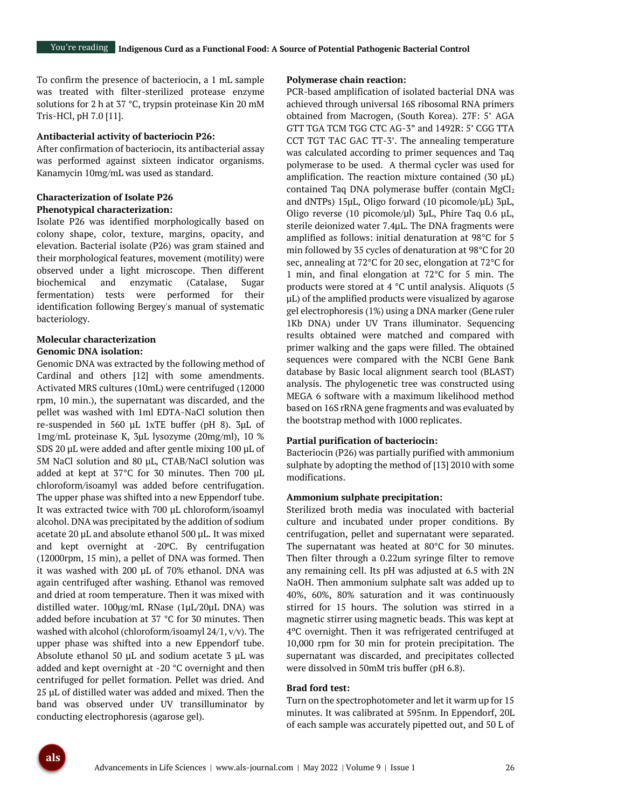To confirm the presence of bacteriocin, a 1 mL sample was treated with filter-sterilized protease enzyme solutions for 2 h at 37 °C, trypsin proteinase Kin 20 mM Tris-HCl, pH 7.0 [11].

#### **Antibacterial activity of bacteriocin P26:**

After confirmation of bacteriocin, its antibacterial assay was performed against sixteen indicator organisms. Kanamycin 10mg/mL was used as standard.

#### **Characterization of Isolate P26 Phenotypical characterization:**

Isolate P26 was identified morphologically based on colony shape, color, texture, margins, opacity, and elevation. Bacterial isolate (P26) was gram stained and their morphological features, movement (motility) were observed under a light microscope. Then different biochemical and enzymatic (Catalase, Sugar fermentation) tests were performed for their identification following Bergey's manual of systematic bacteriology.

#### **Molecular characterization**

#### **Genomic DNA isolation:**

Genomic DNA was extracted by the following method of Cardinal and others [12] with some amendments. Activated MRS cultures (10mL) were centrifuged (12000 rpm, 10 min.), the supernatant was discarded, and the pellet was washed with 1ml EDTA-NaCl solution then re-suspended in 560 µL 1xTE buffer (pH 8). 3µL of 1mg/mL proteinase K, 3µL lysozyme (20mg/ml), 10 % SDS 20 µL were added and after gentle mixing 100 µL of 5M NaCl solution and 80 µL, CTAB/NaCl solution was added at kept at 37°C for 30 minutes. Then 700 µL chloroform/isoamyl was added before centrifugation. The upper phase was shifted into a new Eppendorf tube. It was extracted twice with 700 µL chloroform/isoamyl alcohol. DNA was precipitated by the addition of sodium acetate 20 µL and absolute ethanol 500 µL. It was mixed and kept overnight at -20°C. By centrifugation (12000rpm, 15 min), a pellet of DNA was formed. Then it was washed with 200 µL of 70% ethanol. DNA was again centrifuged after washing. Ethanol was removed and dried at room temperature. Then it was mixed with distilled water. 100µg/mL RNase (1µL/20µL DNA) was added before incubation at 37 °C for 30 minutes. Then washed with alcohol (chloroform/isoamyl 24/1, v/v). The upper phase was shifted into a new Eppendorf tube. Absolute ethanol 50 µL and sodium acetate 3 µL was added and kept overnight at -20 °C overnight and then centrifuged for pellet formation. Pellet was dried. And 25 µL of distilled water was added and mixed. Then the band was observed under UV transilluminator by conducting electrophoresis (agarose gel).

#### **Polymerase chain reaction:**

PCR-based amplification of isolated bacterial DNA was achieved through universal 16S ribosomal RNA primers obtained from Macrogen, (South Korea). 27F: 5' AGA GTT TGA TCM TGG CTC AG-3" and 1492R: 5' CGG TTA CCT TGT TAC GAC TT-3'. The annealing temperature was calculated according to primer sequences and Taq polymerase to be used. A thermal cycler was used for amplification. The reaction mixture contained  $(30 \mu L)$ contained Taq DNA polymerase buffer (contain MgCl2 and dNTPs) 15μL, Oligo forward (10 picomole/μL) 3μL, Oligo reverse (10 picomole/μl) 3μL, Phire Taq 0.6 μL, sterile deionized water 7.4μL. The DNA fragments were amplified as follows: initial denaturation at 98°C for 5 min followed by 35 cycles of denaturation at 98°C for 20 sec, annealing at 72°C for 20 sec, elongation at 72°C for 1 min, and final elongation at 72°C for 5 min. The products were stored at 4 °C until analysis. Aliquots (5 µL) of the amplified products were visualized by agarose gel electrophoresis (1%) using a DNA marker (Gene ruler 1Kb DNA) under UV Trans illuminator. Sequencing results obtained were matched and compared with primer walking and the gaps were filled. The obtained sequences were compared with the NCBI Gene Bank database by Basic local alignment search tool (BLAST) analysis. The phylogenetic tree was constructed using MEGA 6 software with a maximum likelihood method based on 16S rRNA gene fragments and was evaluated by the bootstrap method with 1000 replicates.

#### **Partial purification of bacteriocin:**

Bacteriocin (P26) was partially purified with ammonium sulphate by adopting the method of [13] 2010 with some modifications.

#### **Ammonium sulphate precipitation:**

Sterilized broth media was inoculated with bacterial culture and incubated under proper conditions. By centrifugation, pellet and supernatant were separated. The supernatant was heated at 80°C for 30 minutes. Then filter through a 0.22um syringe filter to remove any remaining cell. Its pH was adjusted at 6.5 with 2N NaOH. Then ammonium sulphate salt was added up to 40%, 60%, 80% saturation and it was continuously stirred for 15 hours. The solution was stirred in a magnetic stirrer using magnetic beads. This was kept at 4ºC overnight. Then it was refrigerated centrifuged at 10,000 rpm for 30 min for protein precipitation. The supernatant was discarded, and precipitates collected were dissolved in 50mM tris buffer (pH 6.8).

#### **Brad ford test:**

Turn on the spectrophotometer and let it warm up for 15 minutes. It was calibrated at 595nm. In Eppendorf, 20L of each sample was accurately pipetted out, and 50 L of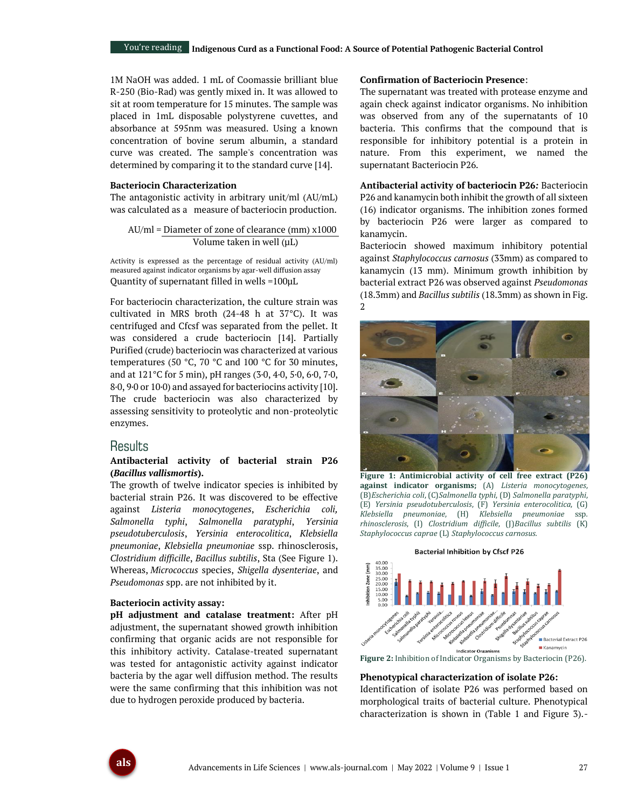1M NaOH was added. 1 mL of Coomassie brilliant blue R-250 (Bio-Rad) was gently mixed in. It was allowed to sit at room temperature for 15 minutes. The sample was placed in 1mL disposable polystyrene cuvettes, and absorbance at 595nm was measured. Using a known concentration of bovine serum albumin, a standard curve was created. The sample's concentration was determined by comparing it to the standard curve [14].

#### **Bacteriocin Characterization**

The antagonistic activity in arbitrary unit/ml (AU/mL) was calculated as a measure of bacteriocin production.

 AU/ml = Diameter of zone of clearance (mm) x1000 Volume taken in well (µL)

Activity is expressed as the percentage of residual activity (AU/ml) measured against indicator organisms by agar-well diffusion assay Quantity of supernatant filled in wells =100µL

For bacteriocin characterization, the culture strain was cultivated in MRS broth (24-48 h at 37°C). It was centrifuged and Cfcsf was separated from the pellet. It was considered a crude bacteriocin [14]. Partially Purified (crude) bacteriocin was characterized at various temperatures (50 °C, 70 °C and 100 °C for 30 minutes, and at 121°C for 5 min), pH ranges (3·0, 4·0, 5·0, 6·0, 7·0, 8·0, 9·0 or 10·0) and assayed for bacteriocins activity [10]. The crude bacteriocin was also characterized by assessing sensitivity to proteolytic and non-proteolytic enzymes.

#### Results

#### **Antibacterial activity of bacterial strain P26 (***Bacillus vallismortis***).**

The growth of twelve indicator species is inhibited by bacterial strain P26. It was discovered to be effective against *Listeria monocytogenes*, *Escherichia coli, Salmonella typhi*, *Salmonella paratyphi*, *Yersinia pseudotuberculosis*, *Yersinia enterocolitica*, *Klebsiella pneumoniae*, *Klebsiella pneumoniae* ssp. rhinosclerosis, *Clostridium difficille*, *Bacillus subtilis*, Sta (See Figure 1). Whereas, *Micrococcus* species, *Shigella dysenteriae*, and *Pseudomonas* spp. are not inhibited by it.

#### **Bacteriocin activity assay:**

**pH adjustment and catalase treatment:** After pH adjustment, the supernatant showed growth inhibition confirming that organic acids are not responsible for this inhibitory activity. Catalase-treated supernatant was tested for antagonistic activity against indicator bacteria by the agar well diffusion method. The results were the same confirming that this inhibition was not due to hydrogen peroxide produced by bacteria.

#### **Confirmation of Bacteriocin Presence**:

The supernatant was treated with protease enzyme and again check against indicator organisms. No inhibition was observed from any of the supernatants of 10 bacteria. This confirms that the compound that is responsible for inhibitory potential is a protein in nature. From this experiment, we named the supernatant Bacteriocin P26.

**Antibacterial activity of bacteriocin P26***:* Bacteriocin P26 and kanamycin both inhibit the growth of all sixteen (16) indicator organisms. The inhibition zones formed by bacteriocin P26 were larger as compared to kanamycin.

Bacteriocin showed maximum inhibitory potential against *Staphylococcus carnosus* (33mm) as compared to kanamycin (13 mm). Minimum growth inhibition by bacterial extract P26 was observed against *Pseudomonas* (18.3mm) and *Bacillus subtilis* (18.3mm) as shown in Fig. 2



**Figure 1: Antimicrobial activity of cell free extract (P26) against indicator organisms;** (A) *Listeria monocytogenes*, (B)*Escherichia coli*, (C)*Salmonella typhi*, (D) *Salmonella paratyphi*, (E) *Yersinia pseudotuberculosis*, (F) *Yersinia enterocolitica*, (G) *Klebsiella pneumoniae*, (H) *Klebsiella pneumoniae* ssp*. rhinosclerosis*, (I) *Clostridium difficile*, (J)*Bacillus subtilis* (K) *Staphylococcus caprae* (L) *Staphylococcus carnosus.*



**Figure 2:** Inhibition of Indicator Organisms by Bacteriocin (P26).

#### **Phenotypical characterization of isolate P26:**

Identification of isolate P26 was performed based on morphological traits of bacterial culture. Phenotypical characterization is shown in (Table 1 and Figure 3).-

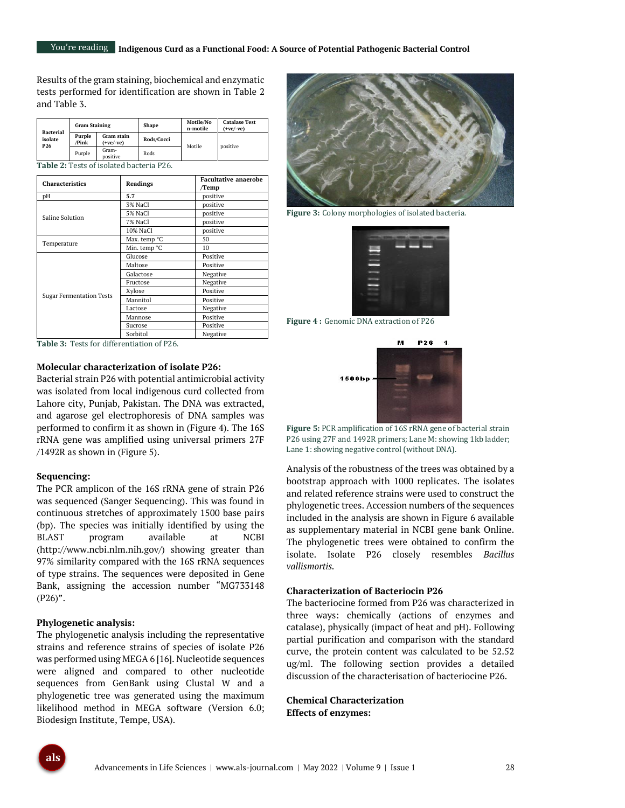Results of the gram staining, biochemical and enzymatic tests performed for identification are shown in Table 2 and Table 3.

| <b>Bacterial</b><br>isolate<br><b>P26</b> | <b>Gram Staining</b> |                           | Shape      | Motile/No<br>n-motile | <b>Catalase Test</b><br>$(+ve/-ve)$ |
|-------------------------------------------|----------------------|---------------------------|------------|-----------------------|-------------------------------------|
|                                           | Purple<br>/Pink      | Gram stain<br>$(+ve/~ve)$ | Rods/Cocci | Motile                | positive                            |
|                                           | Purple               | Gram-<br>positive         | Rods       |                       |                                     |

**Table 2:** Tests of isolated bacteria P26.

| <b>Characteristics</b>          | <b>Readings</b> | <b>Facultative anaerobe</b><br>/Temp |  |
|---------------------------------|-----------------|--------------------------------------|--|
| pН                              | 5.7             | positive                             |  |
|                                 | 3% NaCl         | positive                             |  |
| Saline Solution                 | 5% NaCl         | positive                             |  |
|                                 | 7% NaCl         | positive                             |  |
|                                 | 10% NaCl        | positive                             |  |
|                                 | Max. temp °C    | 50                                   |  |
| Temperature                     | Min. temp °C    | 10                                   |  |
|                                 | Glucose         | Positive                             |  |
|                                 | Maltose         | Positive                             |  |
|                                 | Galactose       | Negative                             |  |
|                                 | Fructose        | Negative                             |  |
|                                 | Xylose          | Positive                             |  |
| <b>Sugar Fermentation Tests</b> | Mannitol        | Positive                             |  |
|                                 | Lactose         | Negative                             |  |
|                                 | Mannose         | Positive                             |  |
|                                 | Sucrose         | Positive                             |  |
|                                 | Sorbitol        | Negative                             |  |

**Table 3:** Tests for differentiation of P26.

## **Molecular characterization of isolate P26:**

Bacterial strain P26 with potential antimicrobial activity was isolated from local indigenous curd collected from Lahore city, Punjab, Pakistan. The DNA was extracted, and agarose gel electrophoresis of DNA samples was performed to confirm it as shown in (Figure 4). The 16S rRNA gene was amplified using universal primers 27F /1492R as shown in (Figure 5).

#### **Sequencing:**

The PCR amplicon of the 16S rRNA gene of strain P26 was sequenced (Sanger Sequencing). This was found in continuous stretches of approximately 1500 base pairs (bp). The species was initially identified by using the BLAST program available at NCBI (http://www.ncbi.nlm.nih.gov/) showing greater than 97% similarity compared with the 16S rRNA sequences of type strains. The sequences were deposited in Gene Bank, assigning the accession number "MG733148  $(P26)$ ".

#### **Phylogenetic analysis:**

The phylogenetic analysis including the representative strains and reference strains of species of isolate P26 was performed using MEGA 6 [16]. Nucleotide sequences were aligned and compared to other nucleotide sequences from GenBank using Clustal W and a phylogenetic tree was generated using the maximum likelihood method in MEGA software (Version 6.0; Biodesign Institute, Tempe, USA).



**Figure 3:** Colony morphologies of isolated bacteria. **Figure 3: Colony morphologies of isolated bacteria (P26)**



**Figure 4 :** Genomic DNA extraction of P26



**Figure 5:** PCR amplification of 16S rRNA gene of bacterial strain P26 using 27F and 1492R primers; Lane M: showing 1kb ladder; Lane 1: showing negative control (without DNA).

Analysis of the robustness of the trees was obtained by a bootstrap approach with 1000 replicates. The isolates and related reference strains were used to construct the phylogenetic trees. Accession numbers of the sequences included in the analysis are shown in Figure 6 available as supplementary material in NCBI gene bank Online. The phylogenetic trees were obtained to confirm the isolate. Isolate P26 closely resembles *Bacillus vallismortis.*

#### **Characterization of Bacteriocin P26**

The bacteriocine formed from P26 was characterized in three ways: chemically (actions of enzymes and catalase), physically (impact of heat and pH). Following partial purification and comparison with the standard curve, the protein content was calculated to be 52.52 ug/ml. The following section provides a detailed discussion of the characterisation of bacteriocine P26.

**Chemical Characterization Effects of enzymes:** 

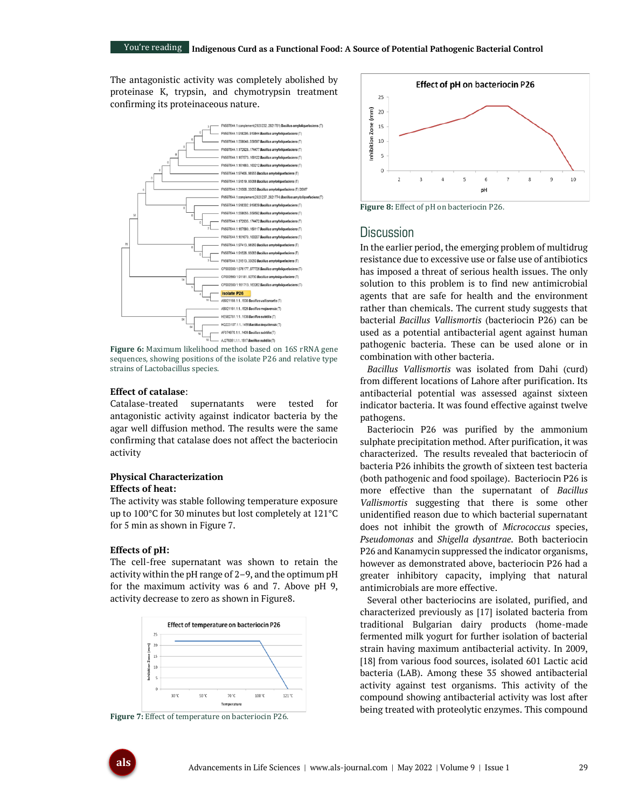The antagonistic activity was completely abolished by proteinase K, trypsin, and chymotrypsin treatment confirming its proteinaceous nature.



**Figure 6:** Maximum likelihood method based on 16S rRNA gene sequences, showing positions of the isolate P26 and relative type strains of Lactobacillus species.

#### **Effect of catalase**:

Catalase-treated supernatants were tested for antagonistic activity against indicator bacteria by the agar well diffusion method. The results were the same confirming that catalase does not affect the bacteriocin activity

#### **Physical Characterization Effects of heat:**

The activity was stable following temperature exposure up to 100°C for 30 minutes but lost completely at 121°C for 5 min as shown in Figure 7.

#### **Effects of pH:**

The cell-free supernatant was shown to retain the activity within the pH range of 2–9, and the optimum pH for the maximum activity was 6 and 7. Above pH 9, activity decrease to zero as shown in Figure8.



**Figure 7:** Effect of temperature on bacteriocin P26.



**Figure 8:** Effect of pH on bacteriocin P26.

### **Discussion**

In the earlier period, the emerging problem of multidrug resistance due to excessive use or false use of antibiotics has imposed a threat of serious health issues. The only solution to this problem is to find new antimicrobial agents that are safe for health and the environment rather than chemicals. The current study suggests that bacterial *Bacillus Vallismortis* (bacteriocin P26) can be used as a potential antibacterial agent against human pathogenic bacteria. These can be used alone or in combination with other bacteria.

*Bacillus Vallismortis* was isolated from Dahi (curd) from different locations of Lahore after purification. Its antibacterial potential was assessed against sixteen indicator bacteria. It was found effective against twelve pathogens.

Bacteriocin P26 was purified by the ammonium sulphate precipitation method. After purification, it was characterized. The results revealed that bacteriocin of bacteria P26 inhibits the growth of sixteen test bacteria (both pathogenic and food spoilage). Bacteriocin P26 is more effective than the supernatant of *Bacillus Vallismortis* suggesting that there is some other unidentified reason due to which bacterial supernatant does not inhibit the growth of *Micrococcus* species, *Pseudomonas* and *Shigella dysantrae.* Both bacteriocin P26 and Kanamycin suppressed the indicator organisms, however as demonstrated above, bacteriocin P26 had a greater inhibitory capacity, implying that natural antimicrobials are more effective.

Several other bacteriocins are isolated, purified, and characterized previously as [17] isolated bacteria from traditional Bulgarian dairy products (home-made fermented milk yogurt for further isolation of bacterial strain having maximum antibacterial activity. In 2009, [18] from various food sources, isolated 601 Lactic acid bacteria (LAB). Among these 35 showed antibacterial activity against test organisms. This activity of the compound showing antibacterial activity was lost after being treated with proteolytic enzymes. This compound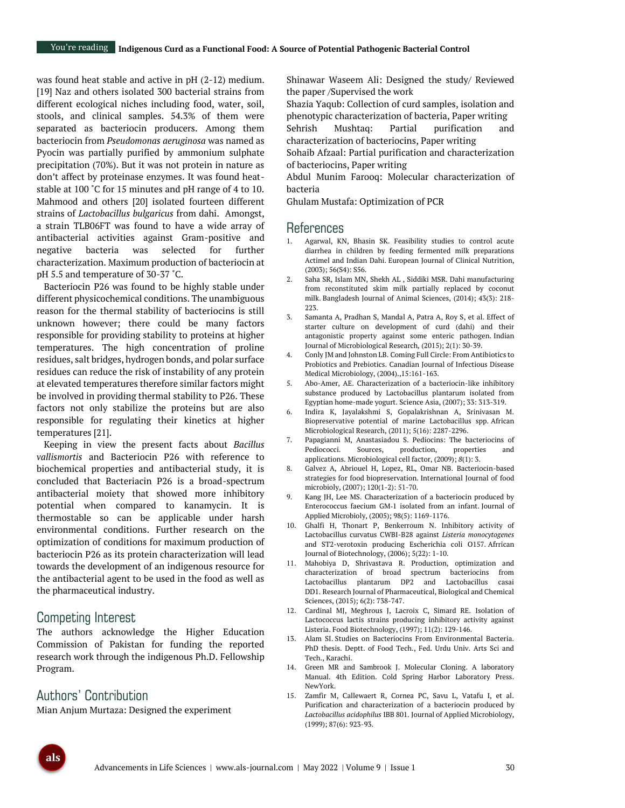was found heat stable and active in pH (2-12) medium. [19] Naz and others isolated 300 bacterial strains from different ecological niches including food, water, soil, stools, and clinical samples. 54.3% of them were separated as bacteriocin producers. Among them bacteriocin from *Pseudomonas aeruginosa* was named as Pyocin was partially purified by ammonium sulphate precipitation (70%). But it was not protein in nature as don't affect by proteinase enzymes. It was found heatstable at 100 ˚C for 15 minutes and pH range of 4 to 10. Mahmood and others [20] isolated fourteen different strains of *Lactobacillus bulgaricus* from dahi. Amongst, a strain TLB06FT was found to have a wide array of antibacterial activities against Gram-positive and negative bacteria was selected for further characterization. Maximum production of bacteriocin at pH 5.5 and temperature of 30-37 ˚C.

Bacteriocin P26 was found to be highly stable under different physicochemical conditions. The unambiguous reason for the thermal stability of bacteriocins is still unknown however; there could be many factors responsible for providing stability to proteins at higher temperatures. The high concentration of proline residues, salt bridges, hydrogen bonds, and polar surface residues can reduce the risk of instability of any protein at elevated temperatures therefore similar factors might be involved in providing thermal stability to P26. These factors not only stabilize the proteins but are also responsible for regulating their kinetics at higher temperatures [21].

Keeping in view the present facts about *Bacillus vallismortis* and Bacteriocin P26 with reference to biochemical properties and antibacterial study, it is concluded that Bacteriacin P26 is a broad-spectrum antibacterial moiety that showed more inhibitory potential when compared to kanamycin. It is thermostable so can be applicable under harsh environmental conditions. Further research on the optimization of conditions for maximum production of bacteriocin P26 as its protein characterization will lead towards the development of an indigenous resource for the antibacterial agent to be used in the food as well as the pharmaceutical industry.

# Competing Interest

The authors acknowledge the Higher Education Commission of Pakistan for funding the reported research work through the indigenous Ph.D. Fellowship Program.

# Authors' Contribution

Mian Anjum Murtaza: Designed the experiment

Shinawar Waseem Ali: Designed the study/ Reviewed the paper /Supervised the work

Shazia Yaqub: Collection of curd samples, isolation and phenotypic characterization of bacteria, Paper writing

Sehrish Mushtaq: Partial purification and characterization of bacteriocins, Paper writing

Sohaib Afzaal: Partial purification and characterization of bacteriocins, Paper writing

Abdul Munim Farooq: Molecular characterization of bacteria

Ghulam Mustafa: Optimization of PCR

## References

- 1. Agarwal, KN, Bhasin SK. Feasibility studies to control acute diarrhea in children by feeding fermented milk preparations Actimel and Indian Dahi. European Journal of Clinical Nutrition, (2003); 56(S4): S56.
- 2. Saha SR, Islam MN, Shekh AL , Siddiki MSR. Dahi manufacturing from reconstituted skim milk partially replaced by coconut milk. Bangladesh Journal of Animal Sciences, (2014); 43(3): 218- 223.
- 3. Samanta A, Pradhan S, Mandal A, Patra A, Roy S, et al. Effect of starter culture on development of curd (dahi) and their antagonistic property against some enteric pathogen. Indian Journal of Microbiological Research*,* (2015); 2(1): 30-39.
- 4. Conly JM and Johnston LB. Coming Full Circle: From Antibiotics to Probiotics and Prebiotics. Canadian Journal of Infectious Disease Medical Microbiology, (2004).,15:161-163.
- 5. Abo-Amer, AE. Characterization of a bacteriocin-like inhibitory substance produced by Lactobacillus plantarum isolated from Egyptian home-made yogurt. Science Asia, (2007); 33: 313-319.
- 6. Indira K, Jayalakshmi S, Gopalakrishnan A, Srinivasan M. Biopreservative potential of marine Lactobacillus spp. African Microbiological Research, (2011); 5(16): 2287-2296.
- 7. Papagianni M, Anastasiadou S. Pediocins: The bacteriocins of Pediococci. Sources, production, properties and applications. Microbiological cell factor, (2009); *8*(1): 3.
- 8. Galvez A, Abriouel H, Lopez, RL, Omar NB. Bacteriocin-based strategies for food biopreservation. International Journal of food microbioly, (2007); 120(1-2): 51-70.
- 9. Kang JH, Lee MS. Characterization of a bacteriocin produced by Enterococcus faecium GM‐1 isolated from an infant. Journal of Applied Microbioly, (2005); 98(5): 1169-1176.
- 10. Ghalfi H, Thonart P, Benkerroum N. Inhibitory activity of Lactobacillus curvatus CWBI-B28 against *Listeria monocytogenes* and ST2-verotoxin producing Escherichia coli O157. Afrrican Journal of Biotechnology, (2006); 5(22): 1-10.
- 11. Mahobiya D, Shrivastava R. Production, optimization and characterization of broad spectrum bacteriocins from Lactobacillus plantarum DP2 and Lactobacillus casai DD1. Research Journal of Pharmaceutical, Biological and Chemical Sciences, (2015); 6(2): 738-747.
- 12. Cardinal MJ, Meghrous J, Lacroix C, Simard RE. Isolation of Lactococcus lactis strains producing inhibitory activity against Listeria. Food Biotechnology, (1997); 11(2): 129-146.
- 13. Alam SI. Studies on Bacteriocins From Environmental Bacteria. PhD thesis. Deptt. of Food Tech., Fed. Urdu Univ. Arts Sci and Tech., Karachi.
- 14. Green MR and Sambrook J. Molecular Cloning. A laboratory Manual. 4th Edition. Cold Spring Harbor Laboratory Press. NewYork.
- 15. Zamfir M, Callewaert R, Cornea PC, Savu L, Vatafu I, et al. Purification and characterization of a bacteriocin produced by *Lactobacillus acidophilus* IBB 801. Journal of Applied Microbiology, (1999); 87(6): 923-93.